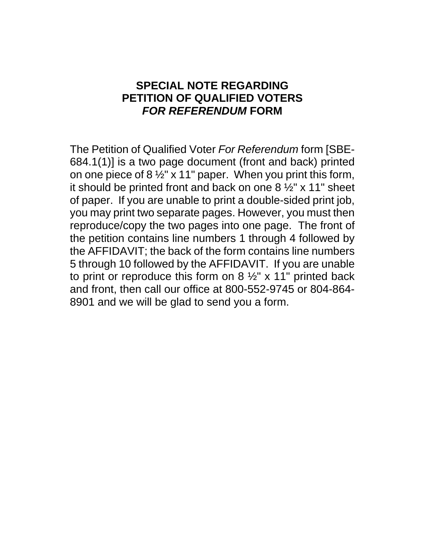## **SPECIAL NOTE REGARDING PETITION OF QUALIFIED VOTERS**  *FOR REFERENDUM* **FORM**

The Petition of Qualified Voter *For Referendum* form [SBE-684.1(1)] is a two page document (front and back) printed on one piece of 8  $\frac{1}{2}$ " x 11" paper. When you print this form, it should be printed front and back on one 8 ½" x 11" sheet of paper. If you are unable to print a double-sided print job, you may print two separate pages. However, you must then reproduce/copy the two pages into one page. The front of the petition contains line numbers 1 through 4 followed by the AFFIDAVIT; the back of the form contains line numbers 5 through 10 followed by the AFFIDAVIT. If you are unable to print or reproduce this form on  $8\frac{1}{2}$  x 11" printed back and front, then call our office at 800-552-9745 or 804-864- 8901 and we will be glad to send you a form.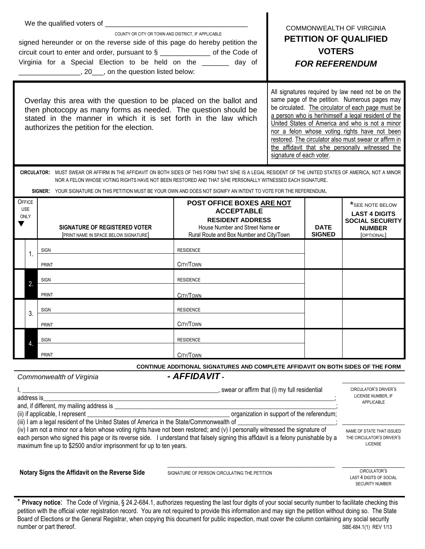| COUNTY OR CITY OR TOWN AND DISTRICT. IF APPLICABLE<br>signed hereunder or on the reverse side of this page do hereby petition the<br>circuit court to enter and order, pursuant to § ______________ of the Code of<br>Virginia for a Special Election to be held on the ______ day of                                                                                                                                                                                                                                                                                                                                                                                                                               |                                            |                                                                                                                                                                                                                                                                      |                                                                                                                                                          | <b>COMMONWEALTH OF VIRGINIA</b><br><b>PETITION OF QUALIFIED</b><br><b>VOTERS</b><br><b>FOR REFERENDUM</b> |                              |                                                                                                  |  |
|---------------------------------------------------------------------------------------------------------------------------------------------------------------------------------------------------------------------------------------------------------------------------------------------------------------------------------------------------------------------------------------------------------------------------------------------------------------------------------------------------------------------------------------------------------------------------------------------------------------------------------------------------------------------------------------------------------------------|--------------------------------------------|----------------------------------------------------------------------------------------------------------------------------------------------------------------------------------------------------------------------------------------------------------------------|----------------------------------------------------------------------------------------------------------------------------------------------------------|-----------------------------------------------------------------------------------------------------------|------------------------------|--------------------------------------------------------------------------------------------------|--|
| All signatures required by law need not be on the<br>same page of the petition. Numerous pages may<br>Overlay this area with the question to be placed on the ballot and<br>be circulated. The circulator of each page must be<br>then photocopy as many forms as needed. The question should be<br>a person who is her\himself a legal resident of the<br>stated in the manner in which it is set forth in the law which<br>United States of America and who is not a minor<br>authorizes the petition for the election.<br>nor a felon whose voting rights have not been<br>restored. The circulator also must swear or affirm in<br>the affidavit that s/he personally witnessed the<br>signature of each voter. |                                            |                                                                                                                                                                                                                                                                      |                                                                                                                                                          |                                                                                                           |                              |                                                                                                  |  |
|                                                                                                                                                                                                                                                                                                                                                                                                                                                                                                                                                                                                                                                                                                                     |                                            | CIRCULATOR: MUST SWEAR OR AFFIRM IN THE AFFIDAVIT ON BOTH SIDES OF THIS FORM THAT S/HE IS A LEGAL RESIDENT OF THE UNITED STATES OF AMERICA, NOT A MINOR<br>NOR A FELON WHOSE VOTING RIGHTS HAVE NOT BEEN RESTORED AND THAT S/HE PERSONALLY WITNESSED EACH SIGNATURE. |                                                                                                                                                          |                                                                                                           |                              |                                                                                                  |  |
|                                                                                                                                                                                                                                                                                                                                                                                                                                                                                                                                                                                                                                                                                                                     |                                            | SIGNER: YOUR SIGNATURE ON THIS PETITION MUST BE YOUR OWN AND DOES NOT SIGNIFY AN INTENT TO VOTE FOR THE REFERENDUM.                                                                                                                                                  |                                                                                                                                                          |                                                                                                           |                              |                                                                                                  |  |
|                                                                                                                                                                                                                                                                                                                                                                                                                                                                                                                                                                                                                                                                                                                     | <b>OFFICE</b><br><b>USE</b><br><b>ONLY</b> | <b>SIGNATURE OF REGISTERED VOTER</b><br>[PRINT NAME IN SPACE BELOW SIGNATURE]                                                                                                                                                                                        | POST OFFICE BOXES ARE NOT<br><b>ACCEPTABLE</b><br><b>RESIDENT ADDRESS</b><br>House Number and Street Name or<br>Rural Route and Box Number and City/Town |                                                                                                           | <b>DATE</b><br><b>SIGNED</b> | *SEE NOTE BELOW<br><b>LAST 4 DIGITS</b><br><b>SOCIAL SECURITY</b><br><b>NUMBER</b><br>[OPTIONAL] |  |
|                                                                                                                                                                                                                                                                                                                                                                                                                                                                                                                                                                                                                                                                                                                     | 1.                                         | <b>SIGN</b><br><b>PRINT</b>                                                                                                                                                                                                                                          | <b>RESIDENCE</b><br>CITY/TOWN                                                                                                                            |                                                                                                           |                              |                                                                                                  |  |
|                                                                                                                                                                                                                                                                                                                                                                                                                                                                                                                                                                                                                                                                                                                     | 2.                                         | <b>SIGN</b>                                                                                                                                                                                                                                                          | <b>RESIDENCE</b>                                                                                                                                         |                                                                                                           |                              |                                                                                                  |  |
|                                                                                                                                                                                                                                                                                                                                                                                                                                                                                                                                                                                                                                                                                                                     |                                            | PRINT                                                                                                                                                                                                                                                                | CITY/TOWN                                                                                                                                                |                                                                                                           |                              |                                                                                                  |  |
|                                                                                                                                                                                                                                                                                                                                                                                                                                                                                                                                                                                                                                                                                                                     | 3.                                         | <b>SIGN</b>                                                                                                                                                                                                                                                          | <b>RESIDENCE</b>                                                                                                                                         |                                                                                                           |                              |                                                                                                  |  |
|                                                                                                                                                                                                                                                                                                                                                                                                                                                                                                                                                                                                                                                                                                                     |                                            | <b>PRINT</b>                                                                                                                                                                                                                                                         | CITY/TOWN                                                                                                                                                |                                                                                                           |                              |                                                                                                  |  |
|                                                                                                                                                                                                                                                                                                                                                                                                                                                                                                                                                                                                                                                                                                                     | 4.                                         | <b>SIGN</b>                                                                                                                                                                                                                                                          | <b>RESIDENCE</b>                                                                                                                                         |                                                                                                           |                              |                                                                                                  |  |
|                                                                                                                                                                                                                                                                                                                                                                                                                                                                                                                                                                                                                                                                                                                     |                                            | <b>PRINT</b>                                                                                                                                                                                                                                                         | CITY/TOWN                                                                                                                                                |                                                                                                           |                              |                                                                                                  |  |
|                                                                                                                                                                                                                                                                                                                                                                                                                                                                                                                                                                                                                                                                                                                     |                                            |                                                                                                                                                                                                                                                                      | CONTINUE ADDITIONAL SIGNATURES AND COMPLETE AFFIDAVIT ON BOTH SIDES OF THE FORM                                                                          |                                                                                                           |                              |                                                                                                  |  |
|                                                                                                                                                                                                                                                                                                                                                                                                                                                                                                                                                                                                                                                                                                                     |                                            | Commonwealth of Virginia                                                                                                                                                                                                                                             | - AFFIDAVIT -                                                                                                                                            |                                                                                                           |                              |                                                                                                  |  |
|                                                                                                                                                                                                                                                                                                                                                                                                                                                                                                                                                                                                                                                                                                                     | address is                                 |                                                                                                                                                                                                                                                                      |                                                                                                                                                          |                                                                                                           |                              | CIRCULATOR'S DRIVER'S<br>LICENSE NUMBER, IF<br>APPLICABLE                                        |  |
|                                                                                                                                                                                                                                                                                                                                                                                                                                                                                                                                                                                                                                                                                                                     |                                            | (ii) if applicable, I represent                                                                                                                                                                                                                                      |                                                                                                                                                          | organization in support of the referendum;                                                                |                              |                                                                                                  |  |
| (iii) I am a legal resident of the United States of America in the State/Commonwealth of<br>(iv) I am not a minor nor a felon whose voting rights have not been restored; and (v) I personally witnessed the signature of<br>each person who signed this page or its reverse side. I understand that falsely signing this affidavit is a felony punishable by a<br>maximum fine up to \$2500 and/or imprisonment for up to ten years.                                                                                                                                                                                                                                                                               |                                            |                                                                                                                                                                                                                                                                      |                                                                                                                                                          |                                                                                                           |                              | NAME OF STATE THAT ISSUED<br>THE CIRCULATOR'S DRIVER'S<br><b>LICENSE</b>                         |  |
|                                                                                                                                                                                                                                                                                                                                                                                                                                                                                                                                                                                                                                                                                                                     |                                            | Notary Signs the Affidavit on the Reverse Side                                                                                                                                                                                                                       | SIGNATURE OF PERSON CIRCULATING THE PETITION                                                                                                             |                                                                                                           |                              | CIRCULATOR'S                                                                                     |  |

CIRCULATOR'S LAST 4 DIGITS OF SOCIAL SECURITY NUMBER

<sup>\*</sup> **Privacy notice**: The Code of Virginia, § 24.2-684.1, authorizes requesting the last four digits of your social security number to facilitate checking this petition with the official voter registration record. You are not required to provide this information and may sign the petition without doing so. The State Board of Elections or the General Registrar, when copying this document for public inspection, must cover the column containing any social security number or part thereof. SBE-684.1(1) REV 1/13